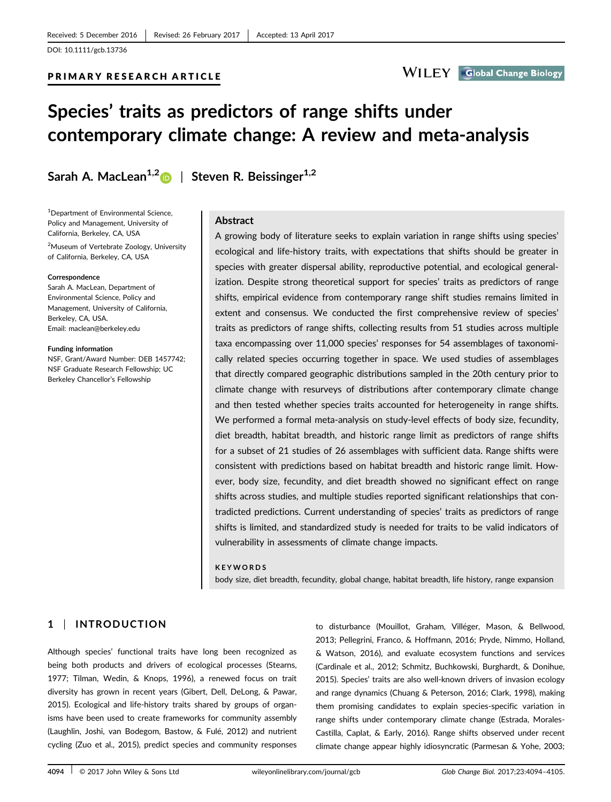# Species' traits as predictors of range shifts under contemporary climate change: A review and meta-analysis

PRIMARY RESEARCH ARTICLE

Sarah A. MacLean<sup>1,[2](http://orcid.org/0000-0001-8240-2529)</sup> | Steven R. Beissinger<sup>1,2</sup>

1 Department of Environmental Science, Policy and Management, University of California, Berkeley, CA, USA

<sup>2</sup>Museum of Vertebrate Zoology, University of California, Berkeley, CA, USA

#### Correspondence

Sarah A. MacLean, Department of Environmental Science, Policy and Management, University of California, Berkeley, CA, USA. Email: maclean@berkeley.edu

#### Funding information

NSF, Grant/Award Number: DEB 1457742; NSF Graduate Research Fellowship; UC Berkeley Chancellor's Fellowship

### Abstract

A growing body of literature seeks to explain variation in range shifts using species' ecological and life-history traits, with expectations that shifts should be greater in species with greater dispersal ability, reproductive potential, and ecological generalization. Despite strong theoretical support for species' traits as predictors of range shifts, empirical evidence from contemporary range shift studies remains limited in extent and consensus. We conducted the first comprehensive review of species' traits as predictors of range shifts, collecting results from 51 studies across multiple taxa encompassing over 11,000 species' responses for 54 assemblages of taxonomically related species occurring together in space. We used studies of assemblages that directly compared geographic distributions sampled in the 20th century prior to climate change with resurveys of distributions after contemporary climate change and then tested whether species traits accounted for heterogeneity in range shifts. We performed a formal meta-analysis on study-level effects of body size, fecundity, diet breadth, habitat breadth, and historic range limit as predictors of range shifts for a subset of 21 studies of 26 assemblages with sufficient data. Range shifts were consistent with predictions based on habitat breadth and historic range limit. However, body size, fecundity, and diet breadth showed no significant effect on range shifts across studies, and multiple studies reported significant relationships that contradicted predictions. Current understanding of species' traits as predictors of range shifts is limited, and standardized study is needed for traits to be valid indicators of vulnerability in assessments of climate change impacts.

#### **KEYWORDS**

body size, diet breadth, fecundity, global change, habitat breadth, life history, range expansion

# 1 | INTRODUCTION

Although species' functional traits have long been recognized as being both products and drivers of ecological processes (Stearns, 1977; Tilman, Wedin, & Knops, 1996), a renewed focus on trait diversity has grown in recent years (Gibert, Dell, DeLong, & Pawar, 2015). Ecological and life-history traits shared by groups of organisms have been used to create frameworks for community assembly (Laughlin, Joshi, van Bodegom, Bastow, & Fulé, 2012) and nutrient cycling (Zuo et al., 2015), predict species and community responses to disturbance (Mouillot, Graham, Villéger, Mason, & Bellwood, 2013; Pellegrini, Franco, & Hoffmann, 2016; Pryde, Nimmo, Holland, & Watson, 2016), and evaluate ecosystem functions and services (Cardinale et al., 2012; Schmitz, Buchkowski, Burghardt, & Donihue, 2015). Species' traits are also well-known drivers of invasion ecology and range dynamics (Chuang & Peterson, 2016; Clark, 1998), making them promising candidates to explain species-specific variation in range shifts under contemporary climate change (Estrada, Morales-Castilla, Caplat, & Early, 2016). Range shifts observed under recent climate change appear highly idiosyncratic (Parmesan & Yohe, 2003;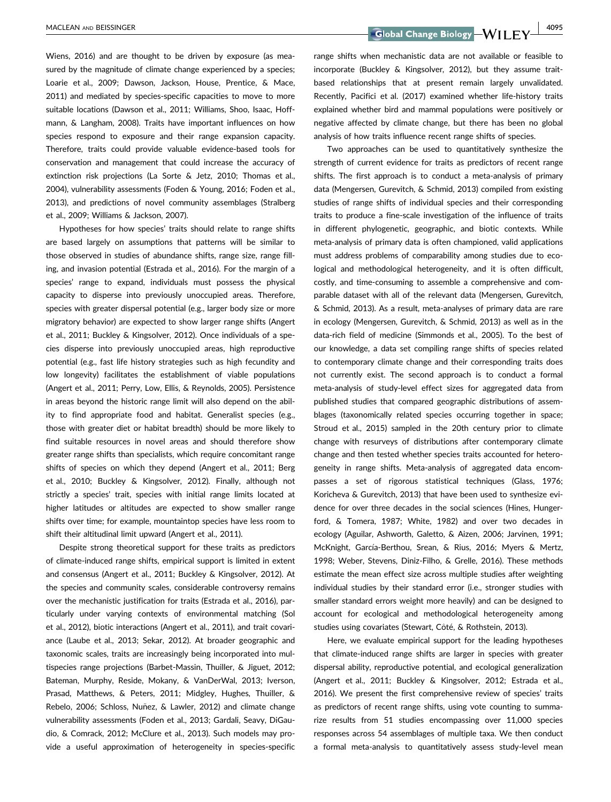Wiens, 2016) and are thought to be driven by exposure (as measured by the magnitude of climate change experienced by a species; Loarie et al., 2009; Dawson, Jackson, House, Prentice, & Mace, 2011) and mediated by species-specific capacities to move to more suitable locations (Dawson et al., 2011; Williams, Shoo, Isaac, Hoffmann, & Langham, 2008). Traits have important influences on how species respond to exposure and their range expansion capacity. Therefore, traits could provide valuable evidence-based tools for conservation and management that could increase the accuracy of extinction risk projections (La Sorte & Jetz, 2010; Thomas et al., 2004), vulnerability assessments (Foden & Young, 2016; Foden et al., 2013), and predictions of novel community assemblages (Stralberg et al., 2009; Williams & Jackson, 2007).

Hypotheses for how species' traits should relate to range shifts are based largely on assumptions that patterns will be similar to those observed in studies of abundance shifts, range size, range filling, and invasion potential (Estrada et al., 2016). For the margin of a species' range to expand, individuals must possess the physical capacity to disperse into previously unoccupied areas. Therefore, species with greater dispersal potential (e.g., larger body size or more migratory behavior) are expected to show larger range shifts (Angert et al., 2011; Buckley & Kingsolver, 2012). Once individuals of a species disperse into previously unoccupied areas, high reproductive potential (e.g., fast life history strategies such as high fecundity and low longevity) facilitates the establishment of viable populations (Angert et al., 2011; Perry, Low, Ellis, & Reynolds, 2005). Persistence in areas beyond the historic range limit will also depend on the ability to find appropriate food and habitat. Generalist species (e.g., those with greater diet or habitat breadth) should be more likely to find suitable resources in novel areas and should therefore show greater range shifts than specialists, which require concomitant range shifts of species on which they depend (Angert et al., 2011; Berg et al., 2010; Buckley & Kingsolver, 2012). Finally, although not strictly a species' trait, species with initial range limits located at higher latitudes or altitudes are expected to show smaller range shifts over time; for example, mountaintop species have less room to shift their altitudinal limit upward (Angert et al., 2011).

Despite strong theoretical support for these traits as predictors of climate-induced range shifts, empirical support is limited in extent and consensus (Angert et al., 2011; Buckley & Kingsolver, 2012). At the species and community scales, considerable controversy remains over the mechanistic justification for traits (Estrada et al., 2016), particularly under varying contexts of environmental matching (Sol et al., 2012), biotic interactions (Angert et al., 2011), and trait covariance (Laube et al., 2013; Sekar, 2012). At broader geographic and taxonomic scales, traits are increasingly being incorporated into multispecies range projections (Barbet-Massin, Thuiller, & Jiguet, 2012; Bateman, Murphy, Reside, Mokany, & VanDerWal, 2013; Iverson, Prasad, Matthews, & Peters, 2011; Midgley, Hughes, Thuiller, & Rebelo, 2006; Schloss, Nuñez, & Lawler, 2012) and climate change vulnerability assessments (Foden et al., 2013; Gardali, Seavy, DiGaudio, & Comrack, 2012; McClure et al., 2013). Such models may provide a useful approximation of heterogeneity in species-specific

MACLEAN AND BEISSINGER 4095

range shifts when mechanistic data are not available or feasible to incorporate (Buckley & Kingsolver, 2012), but they assume traitbased relationships that at present remain largely unvalidated. Recently, Pacifici et al. (2017) examined whether life-history traits explained whether bird and mammal populations were positively or negative affected by climate change, but there has been no global analysis of how traits influence recent range shifts of species.

Two approaches can be used to quantitatively synthesize the strength of current evidence for traits as predictors of recent range shifts. The first approach is to conduct a meta-analysis of primary data (Mengersen, Gurevitch, & Schmid, 2013) compiled from existing studies of range shifts of individual species and their corresponding traits to produce a fine-scale investigation of the influence of traits in different phylogenetic, geographic, and biotic contexts. While meta-analysis of primary data is often championed, valid applications must address problems of comparability among studies due to ecological and methodological heterogeneity, and it is often difficult, costly, and time-consuming to assemble a comprehensive and comparable dataset with all of the relevant data (Mengersen, Gurevitch, & Schmid, 2013). As a result, meta-analyses of primary data are rare in ecology (Mengersen, Gurevitch, & Schmid, 2013) as well as in the data-rich field of medicine (Simmonds et al., 2005). To the best of our knowledge, a data set compiling range shifts of species related to contemporary climate change and their corresponding traits does not currently exist. The second approach is to conduct a formal meta-analysis of study-level effect sizes for aggregated data from published studies that compared geographic distributions of assemblages (taxonomically related species occurring together in space; Stroud et al., 2015) sampled in the 20th century prior to climate change with resurveys of distributions after contemporary climate change and then tested whether species traits accounted for heterogeneity in range shifts. Meta-analysis of aggregated data encompasses a set of rigorous statistical techniques (Glass, 1976; Koricheva & Gurevitch, 2013) that have been used to synthesize evidence for over three decades in the social sciences (Hines, Hungerford, & Tomera, 1987; White, 1982) and over two decades in ecology (Aguilar, Ashworth, Galetto, & Aizen, 2006; Jarvinen, 1991; McKnight, García-Berthou, Srean, & Rius, 2016; Myers & Mertz, 1998; Weber, Stevens, Diniz-Filho, & Grelle, 2016). These methods estimate the mean effect size across multiple studies after weighting individual studies by their standard error (i.e., stronger studies with smaller standard errors weight more heavily) and can be designed to account for ecological and methodological heterogeneity among studies using covariates (Stewart, Côté, & Rothstein, 2013).

Here, we evaluate empirical support for the leading hypotheses that climate-induced range shifts are larger in species with greater dispersal ability, reproductive potential, and ecological generalization (Angert et al., 2011; Buckley & Kingsolver, 2012; Estrada et al., 2016). We present the first comprehensive review of species' traits as predictors of recent range shifts, using vote counting to summarize results from 51 studies encompassing over 11,000 species responses across 54 assemblages of multiple taxa. We then conduct a formal meta-analysis to quantitatively assess study-level mean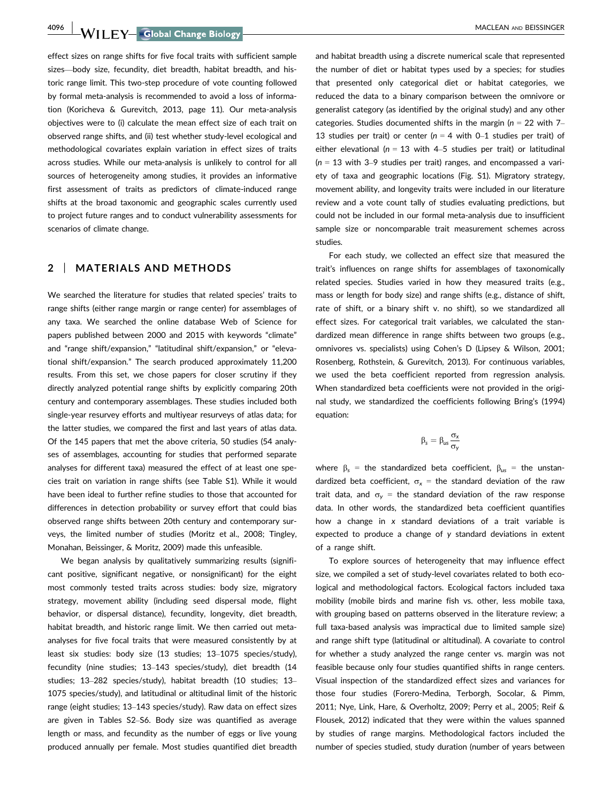4096 | WII FY Global Change Biology | MACLEAN AND BEISSINGER

effect sizes on range shifts for five focal traits with sufficient sample sizes—body size, fecundity, diet breadth, habitat breadth, and historic range limit. This two-step procedure of vote counting followed by formal meta-analysis is recommended to avoid a loss of information (Koricheva & Gurevitch, 2013, page 11). Our meta-analysis objectives were to (i) calculate the mean effect size of each trait on observed range shifts, and (ii) test whether study-level ecological and methodological covariates explain variation in effect sizes of traits across studies. While our meta-analysis is unlikely to control for all sources of heterogeneity among studies, it provides an informative first assessment of traits as predictors of climate-induced range shifts at the broad taxonomic and geographic scales currently used to project future ranges and to conduct vulnerability assessments for scenarios of climate change.

### 2 | MATERIALS AND METHODS

We searched the literature for studies that related species' traits to range shifts (either range margin or range center) for assemblages of any taxa. We searched the online database Web of Science for papers published between 2000 and 2015 with keywords "climate" and "range shift/expansion," "latitudinal shift/expansion," or "elevational shift/expansion." The search produced approximately 11,200 results. From this set, we chose papers for closer scrutiny if they directly analyzed potential range shifts by explicitly comparing 20th century and contemporary assemblages. These studies included both single-year resurvey efforts and multiyear resurveys of atlas data; for the latter studies, we compared the first and last years of atlas data. Of the 145 papers that met the above criteria, 50 studies (54 analyses of assemblages, accounting for studies that performed separate analyses for different taxa) measured the effect of at least one species trait on variation in range shifts (see Table S1). While it would have been ideal to further refine studies to those that accounted for differences in detection probability or survey effort that could bias observed range shifts between 20th century and contemporary surveys, the limited number of studies (Moritz et al., 2008; Tingley, Monahan, Beissinger, & Moritz, 2009) made this unfeasible.

We began analysis by qualitatively summarizing results (significant positive, significant negative, or nonsignificant) for the eight most commonly tested traits across studies: body size, migratory strategy, movement ability (including seed dispersal mode, flight behavior, or dispersal distance), fecundity, longevity, diet breadth, habitat breadth, and historic range limit. We then carried out metaanalyses for five focal traits that were measured consistently by at least six studies: body size (13 studies; 13–1075 species/study), fecundity (nine studies; 13–143 species/study), diet breadth (14 studies; 13–282 species/study), habitat breadth (10 studies; 13– 1075 species/study), and latitudinal or altitudinal limit of the historic range (eight studies; 13–143 species/study). Raw data on effect sizes are given in Tables S2–S6. Body size was quantified as average length or mass, and fecundity as the number of eggs or live young produced annually per female. Most studies quantified diet breadth and habitat breadth using a discrete numerical scale that represented the number of diet or habitat types used by a species; for studies that presented only categorical diet or habitat categories, we reduced the data to a binary comparison between the omnivore or generalist category (as identified by the original study) and any other categories. Studies documented shifts in the margin ( $n = 22$  with 7– 13 studies per trait) or center ( $n = 4$  with 0–1 studies per trait) of either elevational ( $n = 13$  with 4–5 studies per trait) or latitudinal  $(n = 13$  with 3–9 studies per trait) ranges, and encompassed a variety of taxa and geographic locations (Fig. S1). Migratory strategy, movement ability, and longevity traits were included in our literature review and a vote count tally of studies evaluating predictions, but could not be included in our formal meta-analysis due to insufficient sample size or noncomparable trait measurement schemes across studies.

For each study, we collected an effect size that measured the trait's influences on range shifts for assemblages of taxonomically related species. Studies varied in how they measured traits (e.g., mass or length for body size) and range shifts (e.g., distance of shift, rate of shift, or a binary shift v. no shift), so we standardized all effect sizes. For categorical trait variables, we calculated the standardized mean difference in range shifts between two groups (e.g., omnivores vs. specialists) using Cohen's D (Lipsey & Wilson, 2001; Rosenberg, Rothstein, & Gurevitch, 2013). For continuous variables, we used the beta coefficient reported from regression analysis. When standardized beta coefficients were not provided in the original study, we standardized the coefficients following Bring's (1994) equation:

$$
\beta_s = \beta_{us} \frac{\sigma_x}{\sigma_y}
$$

where  $\beta_s$  = the standardized beta coefficient,  $\beta_{us}$  = the unstandardized beta coefficient,  $\sigma_x$  = the standard deviation of the raw trait data, and  $\sigma_v$  = the standard deviation of the raw response data. In other words, the standardized beta coefficient quantifies how a change in x standard deviations of a trait variable is expected to produce a change of y standard deviations in extent of a range shift.

To explore sources of heterogeneity that may influence effect size, we compiled a set of study-level covariates related to both ecological and methodological factors. Ecological factors included taxa mobility (mobile birds and marine fish vs. other, less mobile taxa, with grouping based on patterns observed in the literature review; a full taxa-based analysis was impractical due to limited sample size) and range shift type (latitudinal or altitudinal). A covariate to control for whether a study analyzed the range center vs. margin was not feasible because only four studies quantified shifts in range centers. Visual inspection of the standardized effect sizes and variances for those four studies (Forero-Medina, Terborgh, Socolar, & Pimm, 2011; Nye, Link, Hare, & Overholtz, 2009; Perry et al., 2005; Reif & Flousek, 2012) indicated that they were within the values spanned by studies of range margins. Methodological factors included the number of species studied, study duration (number of years between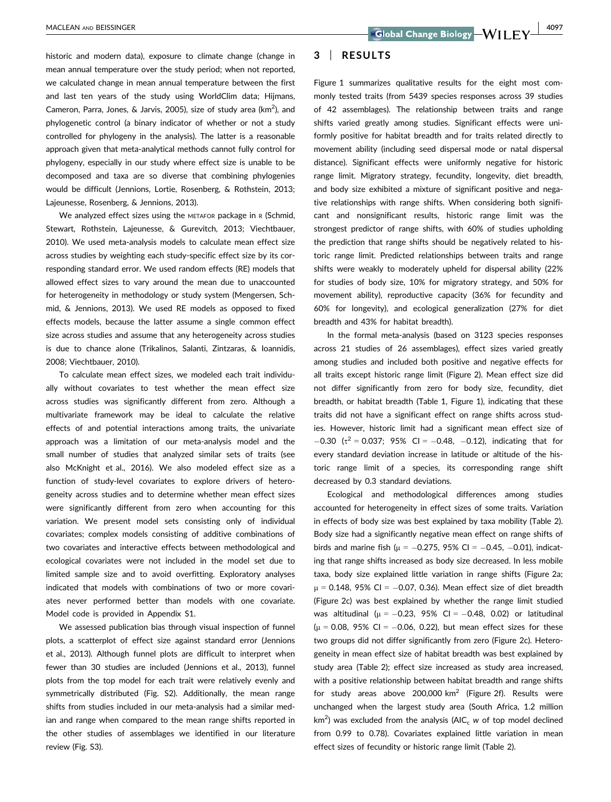historic and modern data), exposure to climate change (change in mean annual temperature over the study period; when not reported, we calculated change in mean annual temperature between the first and last ten years of the study using WorldClim data; Hijmans, Cameron, Parra, Jones, & Jarvis, 2005), size of study area (km<sup>2</sup>), and phylogenetic control (a binary indicator of whether or not a study controlled for phylogeny in the analysis). The latter is a reasonable approach given that meta-analytical methods cannot fully control for phylogeny, especially in our study where effect size is unable to be decomposed and taxa are so diverse that combining phylogenies would be difficult (Jennions, Lortie, Rosenberg, & Rothstein, 2013; Lajeunesse, Rosenberg, & Jennions, 2013).

We analyzed effect sizes using the METAFOR package in R (Schmid, Stewart, Rothstein, Lajeunesse, & Gurevitch, 2013; Viechtbauer, 2010). We used meta-analysis models to calculate mean effect size across studies by weighting each study-specific effect size by its corresponding standard error. We used random effects (RE) models that allowed effect sizes to vary around the mean due to unaccounted for heterogeneity in methodology or study system (Mengersen, Schmid, & Jennions, 2013). We used RE models as opposed to fixed effects models, because the latter assume a single common effect size across studies and assume that any heterogeneity across studies is due to chance alone (Trikalinos, Salanti, Zintzaras, & Ioannidis, 2008; Viechtbauer, 2010).

To calculate mean effect sizes, we modeled each trait individually without covariates to test whether the mean effect size across studies was significantly different from zero. Although a multivariate framework may be ideal to calculate the relative effects of and potential interactions among traits, the univariate approach was a limitation of our meta-analysis model and the small number of studies that analyzed similar sets of traits (see also McKnight et al., 2016). We also modeled effect size as a function of study-level covariates to explore drivers of heterogeneity across studies and to determine whether mean effect sizes were significantly different from zero when accounting for this variation. We present model sets consisting only of individual covariates; complex models consisting of additive combinations of two covariates and interactive effects between methodological and ecological covariates were not included in the model set due to limited sample size and to avoid overfitting. Exploratory analyses indicated that models with combinations of two or more covariates never performed better than models with one covariate. Model code is provided in Appendix S1.

We assessed publication bias through visual inspection of funnel plots, a scatterplot of effect size against standard error (Jennions et al., 2013). Although funnel plots are difficult to interpret when fewer than 30 studies are included (Jennions et al., 2013), funnel plots from the top model for each trait were relatively evenly and symmetrically distributed (Fig. S2). Additionally, the mean range shifts from studies included in our meta-analysis had a similar median and range when compared to the mean range shifts reported in the other studies of assemblages we identified in our literature review (Fig. S3).

### 3 | RESULTS

Figure 1 summarizes qualitative results for the eight most commonly tested traits (from 5439 species responses across 39 studies of 42 assemblages). The relationship between traits and range shifts varied greatly among studies. Significant effects were uniformly positive for habitat breadth and for traits related directly to movement ability (including seed dispersal mode or natal dispersal distance). Significant effects were uniformly negative for historic range limit. Migratory strategy, fecundity, longevity, diet breadth, and body size exhibited a mixture of significant positive and negative relationships with range shifts. When considering both significant and nonsignificant results, historic range limit was the strongest predictor of range shifts, with 60% of studies upholding the prediction that range shifts should be negatively related to historic range limit. Predicted relationships between traits and range shifts were weakly to moderately upheld for dispersal ability (22% for studies of body size, 10% for migratory strategy, and 50% for movement ability), reproductive capacity (36% for fecundity and 60% for longevity), and ecological generalization (27% for diet breadth and 43% for habitat breadth).

In the formal meta-analysis (based on 3123 species responses across 21 studies of 26 assemblages), effect sizes varied greatly among studies and included both positive and negative effects for all traits except historic range limit (Figure 2). Mean effect size did not differ significantly from zero for body size, fecundity, diet breadth, or habitat breadth (Table 1, Figure 1), indicating that these traits did not have a significant effect on range shifts across studies. However, historic limit had a significant mean effect size of  $-0.30$  ( $\tau^2 = 0.037$ ; 95% CI =  $-0.48$ ,  $-0.12$ ), indicating that for every standard deviation increase in latitude or altitude of the historic range limit of a species, its corresponding range shift decreased by 0.3 standard deviations.

Ecological and methodological differences among studies accounted for heterogeneity in effect sizes of some traits. Variation in effects of body size was best explained by taxa mobility (Table 2). Body size had a significantly negative mean effect on range shifts of birds and marine fish ( $\mu$  = -0.275, 95% CI = -0.45, -0.01), indicating that range shifts increased as body size decreased. In less mobile taxa, body size explained little variation in range shifts (Figure 2a;  $\mu$  = 0.148, 95% CI =  $-0.07$ , 0.36). Mean effect size of diet breadth (Figure 2c) was best explained by whether the range limit studied was altitudinal ( $\mu$  =  $-0.23$ , 95% CI =  $-0.48$ , 0.02) or latitudinal  $(\mu = 0.08, 95\% \text{ Cl} = -0.06, 0.22)$ , but mean effect sizes for these two groups did not differ significantly from zero (Figure 2c). Heterogeneity in mean effect size of habitat breadth was best explained by study area (Table 2); effect size increased as study area increased, with a positive relationship between habitat breadth and range shifts for study areas above 200,000  $km^2$  (Figure 2f). Results were unchanged when the largest study area (South Africa, 1.2 million  $km<sup>2</sup>$ ) was excluded from the analysis (AIC<sub>c</sub> w of top model declined from 0.99 to 0.78). Covariates explained little variation in mean effect sizes of fecundity or historic range limit (Table 2).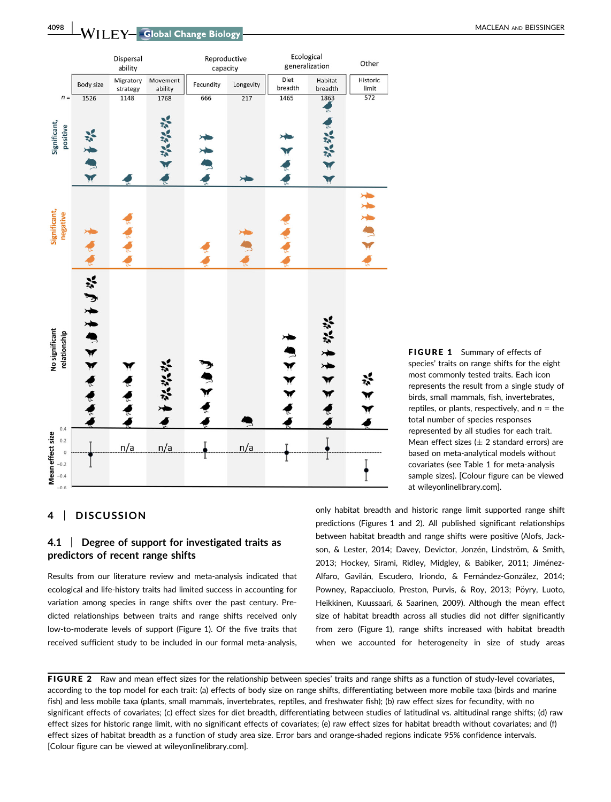**4098 NACLEAN AND BEISSINGER** NACLEAN AND BEISSINGER



FIGURE 1 Summary of effects of species' traits on range shifts for the eight most commonly tested traits. Each icon represents the result from a single study of birds, small mammals, fish, invertebrates, reptiles, or plants, respectively, and  $n =$  the total number of species responses represented by all studies for each trait. Mean effect sizes ( $\pm$  2 standard errors) are based on meta-analytical models without covariates (see Table 1 for meta-analysis sample sizes). [Colour figure can be viewed at wileyonlinelibrary.com].

# 4 | DISCUSSION

### 4.1 | Degree of support for investigated traits as predictors of recent range shifts

Results from our literature review and meta-analysis indicated that ecological and life-history traits had limited success in accounting for variation among species in range shifts over the past century. Predicted relationships between traits and range shifts received only low-to-moderate levels of support (Figure 1). Of the five traits that received sufficient study to be included in our formal meta-analysis,

only habitat breadth and historic range limit supported range shift predictions (Figures 1 and 2). All published significant relationships between habitat breadth and range shifts were positive (Alofs, Jackson, & Lester, 2014; Davey, Devictor, Jonzén, Lindström, & Smith, 2013; Hockey, Sirami, Ridley, Midgley, & Babiker, 2011; Jiménez-Alfaro, Gavilán, Escudero, Iriondo, & Fernández-González, 2014; Powney, Rapacciuolo, Preston, Purvis, & Roy, 2013; Pöyry, Luoto, Heikkinen, Kuussaari, & Saarinen, 2009). Although the mean effect size of habitat breadth across all studies did not differ significantly from zero (Figure 1), range shifts increased with habitat breadth when we accounted for heterogeneity in size of study areas

FIGURE 2 Raw and mean effect sizes for the relationship between species' traits and range shifts as a function of study-level covariates, according to the top model for each trait: (a) effects of body size on range shifts, differentiating between more mobile taxa (birds and marine fish) and less mobile taxa (plants, small mammals, invertebrates, reptiles, and freshwater fish); (b) raw effect sizes for fecundity, with no significant effects of covariates; (c) effect sizes for diet breadth, differentiating between studies of latitudinal vs. altitudinal range shifts; (d) raw effect sizes for historic range limit, with no significant effects of covariates; (e) raw effect sizes for habitat breadth without covariates; and (f) effect sizes of habitat breadth as a function of study area size. Error bars and orange-shaded regions indicate 95% confidence intervals. [Colour figure can be viewed at wileyonlinelibrary.com].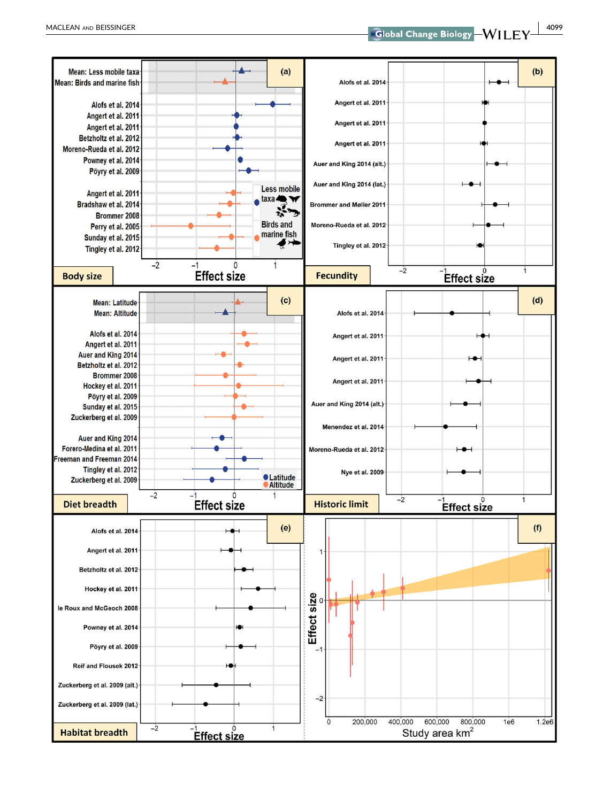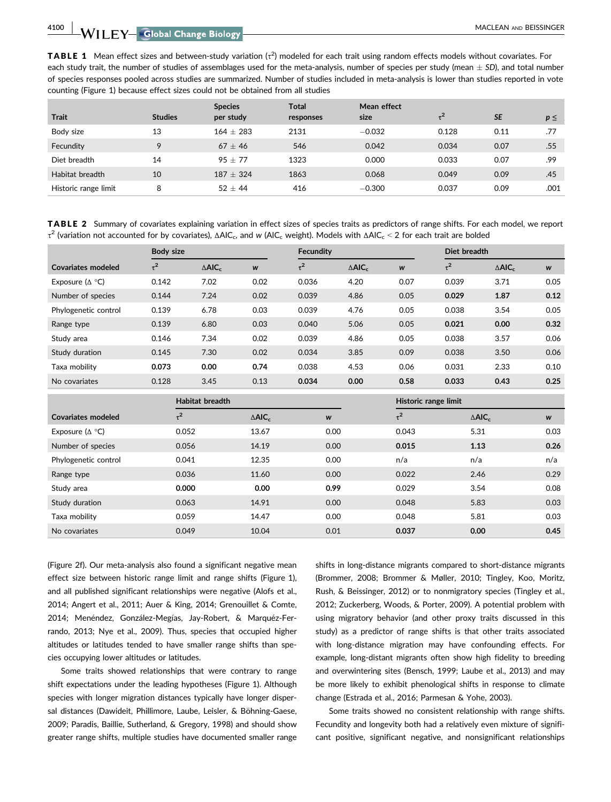4100 WILEY Global Change Biology **Construction** MACLEAN AND BEISSINGER

**TABLE 1** Mean effect sizes and between-study variation  $(\tau^2)$  modeled for each trait using random effects models without covariates. For each study trait, the number of studies of assemblages used for the meta-analysis, number of species per study (mean  $\pm$  SD), and total number of species responses pooled across studies are summarized. Number of studies included in meta-analysis is lower than studies reported in vote counting (Figure 1) because effect sizes could not be obtained from all studies

| <b>Trait</b>         | <b>Studies</b> | <b>Species</b><br>per study | <b>Total</b><br>responses | Mean effect<br>size | $-2$  | <b>SE</b> | $p \leq$ |
|----------------------|----------------|-----------------------------|---------------------------|---------------------|-------|-----------|----------|
| Body size            | 13             | $164 \pm 283$               | 2131                      | $-0.032$            | 0.128 | 0.11      | .77      |
| Fecundity            | 9              | $67 + 46$                   | 546                       | 0.042               | 0.034 | 0.07      | .55      |
| Diet breadth         | 14             | $95 + 77$                   | 1323                      | 0.000               | 0.033 | 0.07      | .99      |
| Habitat breadth      | 10             | $187 + 324$                 | 1863                      | 0.068               | 0.049 | 0.09      | .45      |
| Historic range limit | 8              | $52 + 44$                   | 416                       | $-0.300$            | 0.037 | 0.09      | .001     |

TABLE 2 Summary of covariates explaining variation in effect sizes of species traits as predictors of range shifts. For each model, we report τ<sup>2</sup> (variation not accounted for by covariates), ΔAIC<sub>c</sub>, and w (AIC<sub>c</sub> weight). Models with ΔAIC<sub>c</sub> < 2 for each trait are bolded

|                             | Body size |                              |      | <b>Fecundity</b> |                              |      | Diet breadth |                              |      |
|-----------------------------|-----------|------------------------------|------|------------------|------------------------------|------|--------------|------------------------------|------|
| Covariates modeled          | $\tau^2$  | $\triangle$ AIC <sub>c</sub> | W    | $\tau^2$         | $\triangle$ AIC <sub>c</sub> | W    | $\tau^2$     | $\triangle$ AIC <sub>c</sub> | W    |
| Exposure $(\Delta \circ C)$ | 0.142     | 7.02                         | 0.02 | 0.036            | 4.20                         | 0.07 | 0.039        | 3.71                         | 0.05 |
| Number of species           | 0.144     | 7.24                         | 0.02 | 0.039            | 4.86                         | 0.05 | 0.029        | 1.87                         | 0.12 |
| Phylogenetic control        | 0.139     | 6.78                         | 0.03 | 0.039            | 4.76                         | 0.05 | 0.038        | 3.54                         | 0.05 |
| Range type                  | 0.139     | 6.80                         | 0.03 | 0.040            | 5.06                         | 0.05 | 0.021        | 0.00                         | 0.32 |
| Study area                  | 0.146     | 7.34                         | 0.02 | 0.039            | 4.86                         | 0.05 | 0.038        | 3.57                         | 0.06 |
| Study duration              | 0.145     | 7.30                         | 0.02 | 0.034            | 3.85                         | 0.09 | 0.038        | 3.50                         | 0.06 |
| Taxa mobility               | 0.073     | 0.00                         | 0.74 | 0.038            | 4.53                         | 0.06 | 0.031        | 2.33                         | 0.10 |
| No covariates               | 0.128     | 3.45                         | 0.13 | 0.034            | 0.00                         | 0.58 | 0.033        | 0.43                         | 0.25 |

|                         | Habitat breadth |                              |      | Historic range limit |                   |      |
|-------------------------|-----------------|------------------------------|------|----------------------|-------------------|------|
| Covariates modeled      | $\tau^2$        | $\triangle$ AIC <sub>c</sub> | W    | $\tau^2$             | $\triangle AIC_c$ | W    |
| Exposure ( $\Delta$ °C) | 0.052           | 13.67                        | 0.00 | 0.043                | 5.31              | 0.03 |
| Number of species       | 0.056           | 14.19                        | 0.00 | 0.015                | 1.13              | 0.26 |
| Phylogenetic control    | 0.041           | 12.35                        | 0.00 | n/a                  | n/a               | n/a  |
| Range type              | 0.036           | 11.60                        | 0.00 | 0.022                | 2.46              | 0.29 |
| Study area              | 0.000           | 0.00                         | 0.99 | 0.029                | 3.54              | 0.08 |
| Study duration          | 0.063           | 14.91                        | 0.00 | 0.048                | 5.83              | 0.03 |
| Taxa mobility           | 0.059           | 14.47                        | 0.00 | 0.048                | 5.81              | 0.03 |
| No covariates           | 0.049           | 10.04                        | 0.01 | 0.037                | 0.00              | 0.45 |

(Figure 2f). Our meta-analysis also found a significant negative mean effect size between historic range limit and range shifts (Figure 1), and all published significant relationships were negative (Alofs et al., 2014; Angert et al., 2011; Auer & King, 2014; Grenouillet & Comte, 2014; Menéndez, González-Megías, Jay-Robert, & Marquéz-Ferrando, 2013; Nye et al., 2009). Thus, species that occupied higher altitudes or latitudes tended to have smaller range shifts than species occupying lower altitudes or latitudes.

Some traits showed relationships that were contrary to range shift expectations under the leading hypotheses (Figure 1). Although species with longer migration distances typically have longer dispersal distances (Dawideit, Phillimore, Laube, Leisler, & Böhning-Gaese, 2009; Paradis, Baillie, Sutherland, & Gregory, 1998) and should show greater range shifts, multiple studies have documented smaller range shifts in long-distance migrants compared to short-distance migrants (Brommer, 2008; Brommer & Møller, 2010; Tingley, Koo, Moritz, Rush, & Beissinger, 2012) or to nonmigratory species (Tingley et al., 2012; Zuckerberg, Woods, & Porter, 2009). A potential problem with using migratory behavior (and other proxy traits discussed in this study) as a predictor of range shifts is that other traits associated with long-distance migration may have confounding effects. For example, long-distant migrants often show high fidelity to breeding and overwintering sites (Bensch, 1999; Laube et al., 2013) and may be more likely to exhibit phenological shifts in response to climate change (Estrada et al., 2016; Parmesan & Yohe, 2003).

Some traits showed no consistent relationship with range shifts. Fecundity and longevity both had a relatively even mixture of significant positive, significant negative, and nonsignificant relationships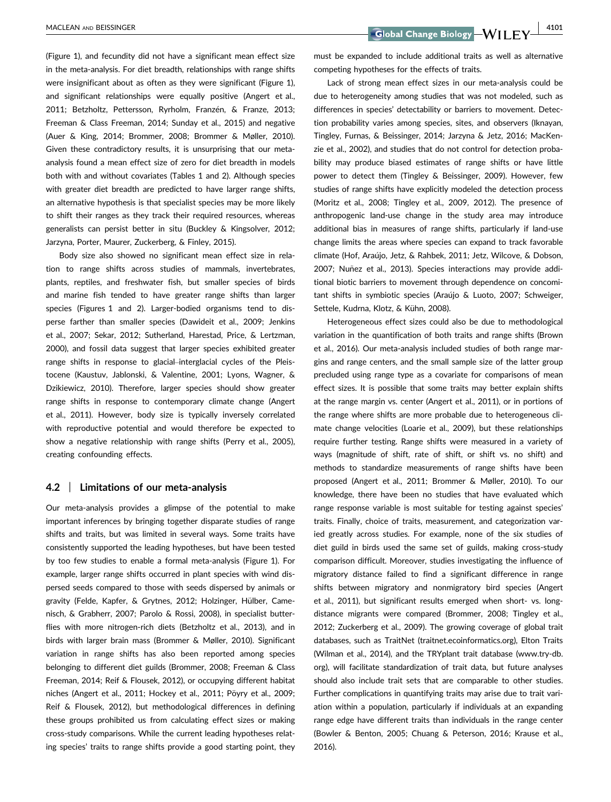(Figure 1), and fecundity did not have a significant mean effect size in the meta-analysis. For diet breadth, relationships with range shifts were insignificant about as often as they were significant (Figure 1), and significant relationships were equally positive (Angert et al., 2011; Betzholtz, Pettersson, Ryrholm, Franzén, & Franze, 2013; Freeman & Class Freeman, 2014; Sunday et al., 2015) and negative (Auer & King, 2014; Brommer, 2008; Brommer & Møller, 2010). Given these contradictory results, it is unsurprising that our metaanalysis found a mean effect size of zero for diet breadth in models both with and without covariates (Tables 1 and 2). Although species with greater diet breadth are predicted to have larger range shifts, an alternative hypothesis is that specialist species may be more likely to shift their ranges as they track their required resources, whereas generalists can persist better in situ (Buckley & Kingsolver, 2012; Jarzyna, Porter, Maurer, Zuckerberg, & Finley, 2015).

Body size also showed no significant mean effect size in relation to range shifts across studies of mammals, invertebrates, plants, reptiles, and freshwater fish, but smaller species of birds and marine fish tended to have greater range shifts than larger species (Figures 1 and 2). Larger-bodied organisms tend to disperse farther than smaller species (Dawideit et al., 2009; Jenkins et al., 2007; Sekar, 2012; Sutherland, Harestad, Price, & Lertzman, 2000), and fossil data suggest that larger species exhibited greater range shifts in response to glacial–interglacial cycles of the Pleistocene (Kaustuv, Jablonski, & Valentine, 2001; Lyons, Wagner, & Dzikiewicz, 2010). Therefore, larger species should show greater range shifts in response to contemporary climate change (Angert et al., 2011). However, body size is typically inversely correlated with reproductive potential and would therefore be expected to show a negative relationship with range shifts (Perry et al., 2005), creating confounding effects.

### 4.2 | Limitations of our meta-analysis

Our meta-analysis provides a glimpse of the potential to make important inferences by bringing together disparate studies of range shifts and traits, but was limited in several ways. Some traits have consistently supported the leading hypotheses, but have been tested by too few studies to enable a formal meta-analysis (Figure 1). For example, larger range shifts occurred in plant species with wind dispersed seeds compared to those with seeds dispersed by animals or gravity (Felde, Kapfer, & Grytnes, 2012; Holzinger, Hülber, Camenisch, & Grabherr, 2007; Parolo & Rossi, 2008), in specialist butterflies with more nitrogen-rich diets (Betzholtz et al., 2013), and in birds with larger brain mass (Brommer & Møller, 2010). Significant variation in range shifts has also been reported among species belonging to different diet guilds (Brommer, 2008; Freeman & Class Freeman, 2014; Reif & Flousek, 2012), or occupying different habitat niches (Angert et al., 2011; Hockey et al., 2011; Pöyry et al., 2009; Reif & Flousek, 2012), but methodological differences in defining these groups prohibited us from calculating effect sizes or making cross-study comparisons. While the current leading hypotheses relating species' traits to range shifts provide a good starting point, they must be expanded to include additional traits as well as alternative competing hypotheses for the effects of traits.

Lack of strong mean effect sizes in our meta-analysis could be due to heterogeneity among studies that was not modeled, such as differences in species' detectability or barriers to movement. Detection probability varies among species, sites, and observers (Iknayan, Tingley, Furnas, & Beissinger, 2014; Jarzyna & Jetz, 2016; MacKenzie et al., 2002), and studies that do not control for detection probability may produce biased estimates of range shifts or have little power to detect them (Tingley & Beissinger, 2009). However, few studies of range shifts have explicitly modeled the detection process (Moritz et al., 2008; Tingley et al., 2009, 2012). The presence of anthropogenic land-use change in the study area may introduce additional bias in measures of range shifts, particularly if land-use change limits the areas where species can expand to track favorable climate (Hof, Araujo, Jetz, & Rahbek, 2011; Jetz, Wilcove, & Dobson, 2007; Nuñez et al., 2013). Species interactions may provide additional biotic barriers to movement through dependence on concomitant shifts in symbiotic species (Araújo & Luoto, 2007; Schweiger, Settele, Kudrna, Klotz, & Kühn, 2008).

Heterogeneous effect sizes could also be due to methodological variation in the quantification of both traits and range shifts (Brown et al., 2016). Our meta-analysis included studies of both range margins and range centers, and the small sample size of the latter group precluded using range type as a covariate for comparisons of mean effect sizes. It is possible that some traits may better explain shifts at the range margin vs. center (Angert et al., 2011), or in portions of the range where shifts are more probable due to heterogeneous climate change velocities (Loarie et al., 2009), but these relationships require further testing. Range shifts were measured in a variety of ways (magnitude of shift, rate of shift, or shift vs. no shift) and methods to standardize measurements of range shifts have been proposed (Angert et al., 2011; Brommer & Møller, 2010). To our knowledge, there have been no studies that have evaluated which range response variable is most suitable for testing against species' traits. Finally, choice of traits, measurement, and categorization varied greatly across studies. For example, none of the six studies of diet guild in birds used the same set of guilds, making cross-study comparison difficult. Moreover, studies investigating the influence of migratory distance failed to find a significant difference in range shifts between migratory and nonmigratory bird species (Angert et al., 2011), but significant results emerged when short- vs. longdistance migrants were compared (Brommer, 2008; Tingley et al., 2012; Zuckerberg et al., 2009). The growing coverage of global trait databases, such as TraitNet (traitnet.ecoinformatics.org), Elton Traits (Wilman et al., 2014), and the TRYplant trait database [\(www.try-db.](http://www.try-db.org) [org](http://www.try-db.org)), will facilitate standardization of trait data, but future analyses should also include trait sets that are comparable to other studies. Further complications in quantifying traits may arise due to trait variation within a population, particularly if individuals at an expanding range edge have different traits than individuals in the range center (Bowler & Benton, 2005; Chuang & Peterson, 2016; Krause et al., 2016).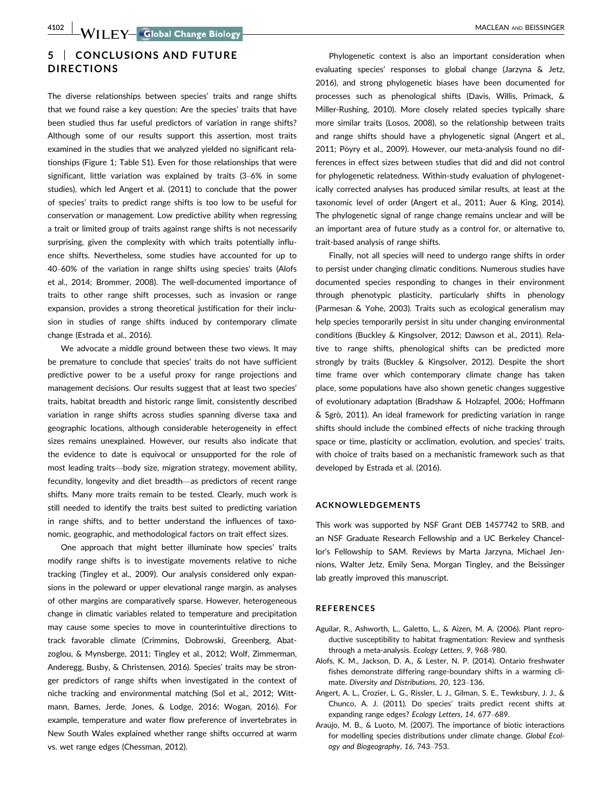# 5 | CONCLUSIONS AND FUTURE DIRECTIONS

The diverse relationships between species' traits and range shifts that we found raise a key question: Are the species' traits that have been studied thus far useful predictors of variation in range shifts? Although some of our results support this assertion, most traits examined in the studies that we analyzed yielded no significant relationships (Figure 1; Table S1). Even for those relationships that were significant, little variation was explained by traits (3–6% in some studies), which led Angert et al. (2011) to conclude that the power of species' traits to predict range shifts is too low to be useful for conservation or management. Low predictive ability when regressing a trait or limited group of traits against range shifts is not necessarily surprising, given the complexity with which traits potentially influence shifts. Nevertheless, some studies have accounted for up to 40–60% of the variation in range shifts using species' traits (Alofs et al., 2014; Brommer, 2008). The well-documented importance of traits to other range shift processes, such as invasion or range expansion, provides a strong theoretical justification for their inclusion in studies of range shifts induced by contemporary climate change (Estrada et al., 2016).

We advocate a middle ground between these two views. It may be premature to conclude that species' traits do not have sufficient predictive power to be a useful proxy for range projections and management decisions. Our results suggest that at least two species' traits, habitat breadth and historic range limit, consistently described variation in range shifts across studies spanning diverse taxa and geographic locations, although considerable heterogeneity in effect sizes remains unexplained. However, our results also indicate that the evidence to date is equivocal or unsupported for the role of most leading traits—body size, migration strategy, movement ability, fecundity, longevity and diet breadth—as predictors of recent range shifts. Many more traits remain to be tested. Clearly, much work is still needed to identify the traits best suited to predicting variation in range shifts, and to better understand the influences of taxonomic, geographic, and methodological factors on trait effect sizes.

One approach that might better illuminate how species' traits modify range shifts is to investigate movements relative to niche tracking (Tingley et al., 2009). Our analysis considered only expansions in the poleward or upper elevational range margin, as analyses of other margins are comparatively sparse. However, heterogeneous change in climatic variables related to temperature and precipitation may cause some species to move in counterintuitive directions to track favorable climate (Crimmins, Dobrowski, Greenberg, Abatzoglou, & Mynsberge, 2011; Tingley et al., 2012; Wolf, Zimmerman, Anderegg, Busby, & Christensen, 2016). Species' traits may be stronger predictors of range shifts when investigated in the context of niche tracking and environmental matching (Sol et al., 2012; Wittmann, Barnes, Jerde, Jones, & Lodge, 2016; Wogan, 2016). For example, temperature and water flow preference of invertebrates in New South Wales explained whether range shifts occurred at warm vs. wet range edges (Chessman, 2012).

Phylogenetic context is also an important consideration when evaluating species' responses to global change (Jarzyna & Jetz, 2016), and strong phylogenetic biases have been documented for processes such as phenological shifts (Davis, Willis, Primack, & Miller-Rushing, 2010). More closely related species typically share more similar traits (Losos, 2008), so the relationship between traits and range shifts should have a phylogenetic signal (Angert et al., 2011; Pöyry et al., 2009). However, our meta-analysis found no differences in effect sizes between studies that did and did not control for phylogenetic relatedness. Within-study evaluation of phylogenetically corrected analyses has produced similar results, at least at the taxonomic level of order (Angert et al., 2011; Auer & King, 2014). The phylogenetic signal of range change remains unclear and will be an important area of future study as a control for, or alternative to, trait-based analysis of range shifts.

Finally, not all species will need to undergo range shifts in order to persist under changing climatic conditions. Numerous studies have documented species responding to changes in their environment through phenotypic plasticity, particularly shifts in phenology (Parmesan & Yohe, 2003). Traits such as ecological generalism may help species temporarily persist in situ under changing environmental conditions (Buckley & Kingsolver, 2012; Dawson et al., 2011). Relative to range shifts, phenological shifts can be predicted more strongly by traits (Buckley & Kingsolver, 2012). Despite the short time frame over which contemporary climate change has taken place, some populations have also shown genetic changes suggestive of evolutionary adaptation (Bradshaw & Holzapfel, 2006; Hoffmann & Sgro, 2011). An ideal framework for predicting variation in range shifts should include the combined effects of niche tracking through space or time, plasticity or acclimation, evolution, and species' traits, with choice of traits based on a mechanistic framework such as that developed by Estrada et al. (2016).

### ACKNOWLEDGEMENTS

This work was supported by NSF Grant DEB 1457742 to SRB, and an NSF Graduate Research Fellowship and a UC Berkeley Chancellor's Fellowship to SAM. Reviews by Marta Jarzyna, Michael Jennions, Walter Jetz, Emily Sena, Morgan Tingley, and the Beissinger lab greatly improved this manuscript.

#### **REFERENCES**

- Aguilar, R., Ashworth, L., Galetto, L., & Aizen, M. A. (2006). Plant reproductive susceptibility to habitat fragmentation: Review and synthesis through a meta-analysis. Ecology Letters, 9, 968–980.
- Alofs, K. M., Jackson, D. A., & Lester, N. P. (2014). Ontario freshwater fishes demonstrate differing range-boundary shifts in a warming climate. Diversity and Distributions, 20, 123–136.
- Angert, A. L., Crozier, L. G., Rissler, L. J., Gilman, S. E., Tewksbury, J. J., & Chunco, A. J. (2011). Do species' traits predict recent shifts at expanding range edges? Ecology Letters, 14, 677–689.
- Araújo, M. B., & Luoto, M. (2007). The importance of biotic interactions for modelling species distributions under climate change. Global Ecology and Biogeography, 16, 743–753.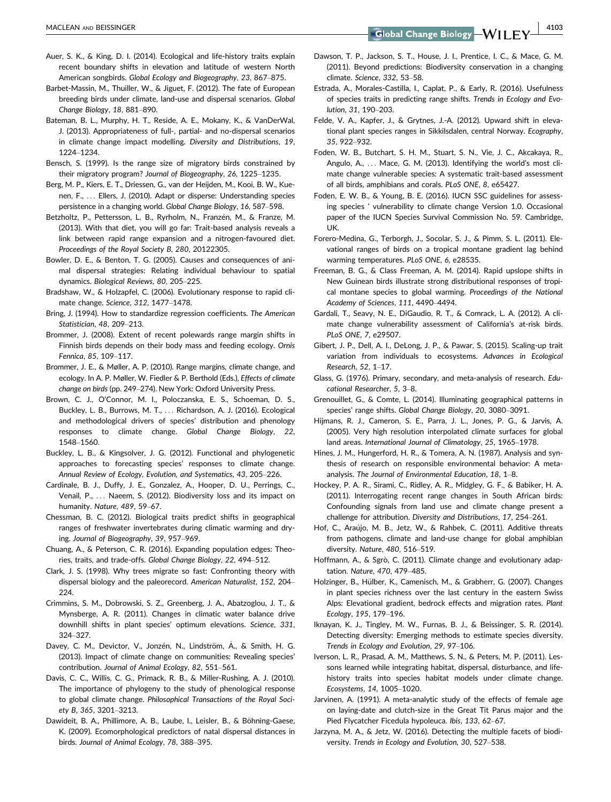MACLEAN AND BEISSINGER **AND BEISSINGER AND SELL AND SELL AND SELL AND SELL AND SELL AND SELL AND SELL AND SELL AND SELL AND SELL AND SELL AND SELL AND SELL AND SELL AND SELL AND SELL AND SELL AND SELL AND SELL AND SELL A** 

- Auer, S. K., & King, D. I. (2014). Ecological and life-history traits explain recent boundary shifts in elevation and latitude of western North American songbirds. Global Ecology and Biogeography, 23, 867–875.
- Barbet-Massin, M., Thuiller, W., & Jiguet, F. (2012). The fate of European breeding birds under climate, land-use and dispersal scenarios. Global Change Biology, 18, 881–890.
- Bateman, B. L., Murphy, H. T., Reside, A. E., Mokany, K., & VanDerWal, J. (2013). Appropriateness of full-, partial- and no-dispersal scenarios in climate change impact modelling. Diversity and Distributions, 19, 1224–1234.
- Bensch, S. (1999). Is the range size of migratory birds constrained by their migratory program? Journal of Biogeography, 26, 1225–1235.
- Berg, M. P., Kiers, E. T., Driessen, G., van der Heijden, M., Kooi, B. W., Kuenen, F., ... Ellers, J. (2010). Adapt or disperse: Understanding species persistence in a changing world. Global Change Biology, 16, 587–598.
- Betzholtz, P., Pettersson, L. B., Ryrholm, N., Franzén, M., & Franze, M. (2013). With that diet, you will go far: Trait-based analysis reveals a link between rapid range expansion and a nitrogen-favoured diet. Proceedings of the Royal Society B, 280, 20122305.
- Bowler, D. E., & Benton, T. G. (2005). Causes and consequences of animal dispersal strategies: Relating individual behaviour to spatial dynamics. Biological Reviews, 80, 205–225.
- Bradshaw, W., & Holzapfel, C. (2006). Evolutionary response to rapid climate change. Science, 312, 1477–1478.
- Bring, J. (1994). How to standardize regression coefficients. The American Statistician, 48, 209–213.
- Brommer, J. (2008). Extent of recent polewards range margin shifts in Finnish birds depends on their body mass and feeding ecology. Ornis Fennica, 85, 109–117.
- Brommer, J. E., & Møller, A. P. (2010). Range margins, climate change, and ecology. In A. P. Møller, W. Fiedler & P. Berthold (Eds.), Effects of climate change on birds (pp. 249–274). New York: Oxford University Press.
- Brown, C. J., O'Connor, M. I., Poloczanska, E. S., Schoeman, D. S., Buckley, L. B., Burrows, M. T., ... Richardson, A. J. (2016). Ecological and methodological drivers of species' distribution and phenology responses to climate change. Global Change Biology, 22, 1548–1560.
- Buckley, L. B., & Kingsolver, J. G. (2012). Functional and phylogenetic approaches to forecasting species' responses to climate change. Annual Review of Ecology, Evolution, and Systematics, 43, 205–226.
- Cardinale, B. J., Duffy, J. E., Gonzalez, A., Hooper, D. U., Perrings, C., Venail, P., ... Naeem, S. (2012). Biodiversity loss and its impact on humanity. Nature, 489, 59–67.
- Chessman, B. C. (2012). Biological traits predict shifts in geographical ranges of freshwater invertebrates during climatic warming and drying. Journal of Biogeography, 39, 957–969.
- Chuang, A., & Peterson, C. R. (2016). Expanding population edges: Theories, traits, and trade-offs. Global Change Biology, 22, 494–512.
- Clark, J. S. (1998). Why trees migrate so fast: Confronting theory with dispersal biology and the paleorecord. American Naturalist, 152, 204– 224.
- Crimmins, S. M., Dobrowski, S. Z., Greenberg, J. A., Abatzoglou, J. T., & Mynsberge, A. R. (2011). Changes in climatic water balance drive downhill shifts in plant species' optimum elevations. Science, 331, 324–327.
- Davey, C. M., Devictor, V., Jonzén, N., Lindström, Å., & Smith, H. G. (2013). Impact of climate change on communities: Revealing species' contribution. Journal of Animal Ecology, 82, 551–561.
- Davis, C. C., Willis, C. G., Primack, R. B., & Miller-Rushing, A. J. (2010). The importance of phylogeny to the study of phenological response to global climate change. Philosophical Transactions of the Royal Society B, 365, 3201–3213.
- Dawideit, B. A., Phillimore, A. B., Laube, I., Leisler, B., & Böhning-Gaese, K. (2009). Ecomorphological predictors of natal dispersal distances in birds. Journal of Animal Ecology, 78, 388–395.
- Dawson, T. P., Jackson, S. T., House, J. I., Prentice, I. C., & Mace, G. M. (2011). Beyond predictions: Biodiversity conservation in a changing climate. Science, 332, 53–58.
- Estrada, A., Morales-Castilla, I., Caplat, P., & Early, R. (2016). Usefulness of species traits in predicting range shifts. Trends in Ecology and Evolution, 31, 190–203.
- Felde, V. A., Kapfer, J., & Grytnes, J.-A. (2012). Upward shift in elevational plant species ranges in Sikkilsdalen, central Norway. Ecography, 35, 922–932.
- Foden, W. B., Butchart, S. H. M., Stuart, S. N., Vie, J. C., Akcakaya, R., Angulo, A., ... Mace, G. M. (2013). Identifying the world's most climate change vulnerable species: A systematic trait-based assessment of all birds, amphibians and corals. PLoS ONE, 8, e65427.
- Foden, E. W. B., & Young, B. E. (2016). IUCN SSC guidelines for assessing species ' vulnerability to climate change Version 1.0. Occasional paper of the IUCN Species Survival Commission No. 59. Cambridge, UK.
- Forero-Medina, G., Terborgh, J., Socolar, S. J., & Pimm, S. L. (2011). Elevational ranges of birds on a tropical montane gradient lag behind warming temperatures. PLoS ONE, 6, e28535.
- Freeman, B. G., & Class Freeman, A. M. (2014). Rapid upslope shifts in New Guinean birds illustrate strong distributional responses of tropical montane species to global warming. Proceedings of the National Academy of Sciences, 111, 4490–4494.
- Gardali, T., Seavy, N. E., DiGaudio, R. T., & Comrack, L. A. (2012). A climate change vulnerability assessment of California's at-risk birds. PLoS ONE, 7, e29507.
- Gibert, J. P., Dell, A. I., DeLong, J. P., & Pawar, S. (2015). Scaling-up trait variation from individuals to ecosystems. Advances in Ecological Research, 52, 1–17.
- Glass, G. (1976). Primary, secondary, and meta-analysis of research. Educational Researcher, 5, 3–8.
- Grenouillet, G., & Comte, L. (2014). Illuminating geographical patterns in species' range shifts. Global Change Biology, 20, 3080–3091.
- Hijmans, R. J., Cameron, S. E., Parra, J. L., Jones, P. G., & Jarvis, A. (2005). Very high resolution interpolated climate surfaces for global land areas. International Journal of Climatology, 25, 1965–1978.
- Hines, J. M., Hungerford, H. R., & Tomera, A. N. (1987). Analysis and synthesis of research on responsible environmental behavior: A metaanalysis. The Journal of Environmental Education, 18, 1–8.
- Hockey, P. A. R., Sirami, C., Ridley, A. R., Midgley, G. F., & Babiker, H. A. (2011). Interrogating recent range changes in South African birds: Confounding signals from land use and climate change present a challenge for attribution. Diversity and Distributions, 17, 254–261.
- Hof, C., Araújo, M. B., Jetz, W., & Rahbek, C. (2011). Additive threats from pathogens, climate and land-use change for global amphibian diversity. Nature, 480, 516–519.
- Hoffmann, A., & Sgrò, C. (2011). Climate change and evolutionary adaptation. Nature, 470, 479–485.
- Holzinger, B., Hülber, K., Camenisch, M., & Grabherr, G. (2007). Changes in plant species richness over the last century in the eastern Swiss Alps: Elevational gradient, bedrock effects and migration rates. Plant Ecology, 195, 179–196.
- Iknayan, K. J., Tingley, M. W., Furnas, B. J., & Beissinger, S. R. (2014). Detecting diversity: Emerging methods to estimate species diversity. Trends in Ecology and Evolution, 29, 97–106.
- Iverson, L. R., Prasad, A. M., Matthews, S. N., & Peters, M. P. (2011). Lessons learned while integrating habitat, dispersal, disturbance, and lifehistory traits into species habitat models under climate change. Ecosystems, 14, 1005–1020.
- Jarvinen, A. (1991). A meta-analytic study of the effects of female age on laying-date and clutch-size in the Great Tit Parus major and the Pied Flycatcher Ficedula hypoleuca. Ibis, 133, 62–67.
- Jarzyna, M. A., & Jetz, W. (2016). Detecting the multiple facets of biodiversity. Trends in Ecology and Evolution, 30, 527–538.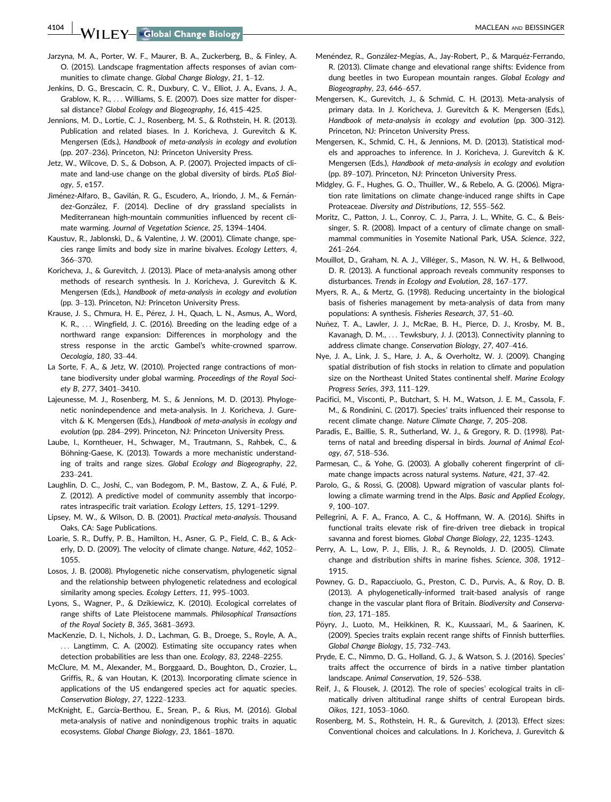4104 WII FY Global Change Biology **Access 2018 12:30 ANACLEAN AND BEISSINGER** 

- Jarzyna, M. A., Porter, W. F., Maurer, B. A., Zuckerberg, B., & Finley, A. O. (2015). Landscape fragmentation affects responses of avian communities to climate change. Global Change Biology, 21, 1–12.
- Jenkins, D. G., Brescacin, C. R., Duxbury, C. V., Elliot, J. A., Evans, J. A., Grablow, K. R., ... Williams, S. E. (2007). Does size matter for dispersal distance? Global Ecology and Biogeography, 16, 415–425.
- Jennions, M. D., Lortie, C. J., Rosenberg, M. S., & Rothstein, H. R. (2013). Publication and related biases. In J. Koricheva, J. Gurevitch & K. Mengersen (Eds.), Handbook of meta-analysis in ecology and evolution (pp. 207–236). Princeton, NJ: Princeton University Press.
- Jetz, W., Wilcove, D. S., & Dobson, A. P. (2007). Projected impacts of climate and land-use change on the global diversity of birds. PLoS Biology, 5, e157.
- Jiménez-Alfaro, B., Gavilán, R. G., Escudero, A., Iriondo, J. M., & Fernández-Gonzalez, F. (2014). Decline of dry grassland specialists in Mediterranean high-mountain communities influenced by recent climate warming. Journal of Vegetation Science, 25, 1394–1404.
- Kaustuv, R., Jablonski, D., & Valentine, J. W. (2001). Climate change, species range limits and body size in marine bivalves. Ecology Letters, 4, 366–370.
- Koricheva, J., & Gurevitch, J. (2013). Place of meta-analysis among other methods of research synthesis. In J. Koricheva, J. Gurevitch & K. Mengersen (Eds.), Handbook of meta-analysis in ecology and evolution (pp. 3–13). Princeton, NJ: Princeton University Press.
- Krause, J. S., Chmura, H. E., Pérez, J. H., Quach, L. N., Asmus, A., Word, K. R., ... Wingfield, J. C. (2016). Breeding on the leading edge of a northward range expansion: Differences in morphology and the stress response in the arctic Gambel's white-crowned sparrow. Oecologia, 180, 33–44.
- La Sorte, F. A., & Jetz, W. (2010). Projected range contractions of montane biodiversity under global warming. Proceedings of the Royal Society B, 277, 3401–3410.
- Lajeunesse, M. J., Rosenberg, M. S., & Jennions, M. D. (2013). Phylogenetic nonindependence and meta-analysis. In J. Koricheva, J. Gurevitch & K. Mengersen (Eds.), Handbook of meta-analysis in ecology and evolution (pp. 284–299). Princeton, NJ: Princeton University Press.
- Laube, I., Korntheuer, H., Schwager, M., Trautmann, S., Rahbek, C., & Böhning-Gaese, K. (2013). Towards a more mechanistic understanding of traits and range sizes. Global Ecology and Biogeography, 22, 233–241.
- Laughlin, D. C., Joshi, C., van Bodegom, P. M., Bastow, Z. A., & Fulé, P. Z. (2012). A predictive model of community assembly that incorporates intraspecific trait variation. Ecology Letters, 15, 1291–1299.
- Lipsey, M. W., & Wilson, D. B. (2001). Practical meta-analysis. Thousand Oaks, CA: Sage Publications.
- Loarie, S. R., Duffy, P. B., Hamilton, H., Asner, G. P., Field, C. B., & Ackerly, D. D. (2009). The velocity of climate change. Nature, 462, 1052– 1055.
- Losos, J. B. (2008). Phylogenetic niche conservatism, phylogenetic signal and the relationship between phylogenetic relatedness and ecological similarity among species. Ecology Letters, 11, 995–1003.
- Lyons, S., Wagner, P., & Dzikiewicz, K. (2010). Ecological correlates of range shifts of Late Pleistocene mammals. Philosophical Transactions of the Royal Society B, 365, 3681–3693.
- MacKenzie, D. I., Nichols, J. D., Lachman, G. B., Droege, S., Royle, A. A., ... Langtimm, C. A. (2002). Estimating site occupancy rates when detection probabilities are less than one. Ecology, 83, 2248–2255.
- McClure, M. M., Alexander, M., Borggaard, D., Boughton, D., Crozier, L., Griffis, R., & van Houtan, K. (2013). Incorporating climate science in applications of the US endangered species act for aquatic species. Conservation Biology, 27, 1222–1233.
- McKnight, E., García-Berthou, E., Srean, P., & Rius, M. (2016). Global meta-analysis of native and nonindigenous trophic traits in aquatic ecosystems. Global Change Biology, 23, 1861–1870.
- Menéndez, R., González-Megías, A., Jay-Robert, P., & Marquéz-Ferrando, R. (2013). Climate change and elevational range shifts: Evidence from dung beetles in two European mountain ranges. Global Ecology and Biogeography, 23, 646–657.
- Mengersen, K., Gurevitch, J., & Schmid, C. H. (2013). Meta-analysis of primary data. In J. Koricheva, J. Gurevitch & K. Mengersen (Eds.), Handbook of meta-analysis in ecology and evolution (pp. 300–312). Princeton, NJ: Princeton University Press.
- Mengersen, K., Schmid, C. H., & Jennions, M. D. (2013). Statistical models and approaches to inference. In J. Koricheva, J. Gurevitch & K. Mengersen (Eds.), Handbook of meta-analysis in ecology and evolution (pp. 89–107). Princeton, NJ: Princeton University Press.
- Midgley, G. F., Hughes, G. O., Thuiller, W., & Rebelo, A. G. (2006). Migration rate limitations on climate change-induced range shifts in Cape Proteaceae. Diversity and Distributions, 12, 555–562.
- Moritz, C., Patton, J. L., Conroy, C. J., Parra, J. L., White, G. C., & Beissinger, S. R. (2008). Impact of a century of climate change on smallmammal communities in Yosemite National Park, USA. Science, 322, 261–264.
- Mouillot, D., Graham, N. A. J., Villéger, S., Mason, N. W. H., & Bellwood, D. R. (2013). A functional approach reveals community responses to disturbances. Trends in Ecology and Evolution, 28, 167–177.
- Myers, R. A., & Mertz, G. (1998). Reducing uncertainty in the biological basis of fisheries management by meta-analysis of data from many populations: A synthesis. Fisheries Research, 37, 51–60.
- Nuñez, T. A., Lawler, J. J., McRae, B. H., Pierce, D. J., Krosby, M. B., Kavanagh, D. M., ... Tewksbury, J. J. (2013). Connectivity planning to address climate change. Conservation Biology, 27, 407–416.
- Nye, J. A., Link, J. S., Hare, J. A., & Overholtz, W. J. (2009). Changing spatial distribution of fish stocks in relation to climate and population size on the Northeast United States continental shelf. Marine Ecology Progress Series, 393, 111–129.
- Pacifici, M., Visconti, P., Butchart, S. H. M., Watson, J. E. M., Cassola, F. M., & Rondinini, C. (2017). Species' traits influenced their response to recent climate change. Nature Climate Change, 7, 205–208.
- Paradis, E., Baillie, S. R., Sutherland, W. J., & Gregory, R. D. (1998). Patterns of natal and breeding dispersal in birds. Journal of Animal Ecology, 67, 518–536.
- Parmesan, C., & Yohe, G. (2003). A globally coherent fingerprint of climate change impacts across natural systems. Nature, 421, 37–42.
- Parolo, G., & Rossi, G. (2008). Upward migration of vascular plants following a climate warming trend in the Alps. Basic and Applied Ecology, 9, 100–107.
- Pellegrini, A. F. A., Franco, A. C., & Hoffmann, W. A. (2016). Shifts in functional traits elevate risk of fire-driven tree dieback in tropical savanna and forest biomes. Global Change Biology, 22, 1235–1243.
- Perry, A. L., Low, P. J., Ellis, J. R., & Reynolds, J. D. (2005). Climate change and distribution shifts in marine fishes. Science, 308, 1912– 1915.
- Powney, G. D., Rapacciuolo, G., Preston, C. D., Purvis, A., & Roy, D. B. (2013). A phylogenetically-informed trait-based analysis of range change in the vascular plant flora of Britain. Biodiversity and Conservation, 23, 171–185.
- Pöyry, J., Luoto, M., Heikkinen, R. K., Kuussaari, M., & Saarinen, K. (2009). Species traits explain recent range shifts of Finnish butterflies. Global Change Biology, 15, 732–743.
- Pryde, E. C., Nimmo, D. G., Holland, G. J., & Watson, S. J. (2016). Species' traits affect the occurrence of birds in a native timber plantation landscape. Animal Conservation, 19, 526–538.
- Reif, J., & Flousek, J. (2012). The role of species' ecological traits in climatically driven altitudinal range shifts of central European birds. Oikos, 121, 1053–1060.
- Rosenberg, M. S., Rothstein, H. R., & Gurevitch, J. (2013). Effect sizes: Conventional choices and calculations. In J. Koricheva, J. Gurevitch &